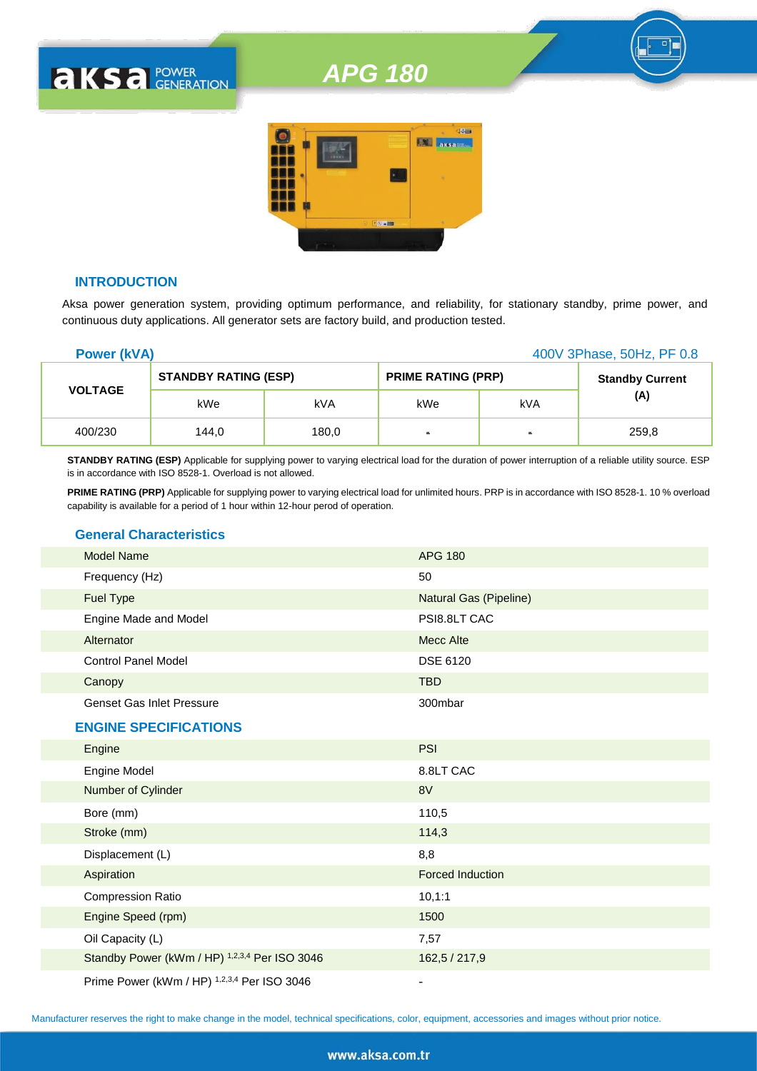# *APG 180*



# **INTRODUCTION**

**AKSA POWER** 

Aksa power generation system, providing optimum performance, and reliability, for stationary standby, prime power, and continuous duty applications. All generator sets are factory build, and production tested.

| <b>Power (kVA)</b> |                             |       |                           | 400V 3Phase, 50Hz, PF 0.8 |                        |
|--------------------|-----------------------------|-------|---------------------------|---------------------------|------------------------|
| <b>VOLTAGE</b>     | <b>STANDBY RATING (ESP)</b> |       | <b>PRIME RATING (PRP)</b> |                           | <b>Standby Current</b> |
|                    | kWe                         | kVA   | kWe                       | kVA                       | (A)                    |
| 400/230            | 144,0                       | 180,0 | ٠                         | $\blacksquare$            | 259,8                  |

**STANDBY RATING (ESP)** Applicable for supplying power to varying electrical load for the duration of power interruption of a reliable utility source. ESP is in accordance with ISO 8528-1. Overload is not allowed.

**PRIME RATING (PRP)** Applicable for supplying power to varying electrical load for unlimited hours. PRP is in accordance with ISO 8528-1. 10 % overload capability is available for a period of 1 hour within 12-hour perod of operation.

# **General Characteristics**

| <b>Model Name</b>                | <b>APG 180</b>                 |
|----------------------------------|--------------------------------|
| Frequency (Hz)                   | 50                             |
| <b>Fuel Type</b>                 | Natural Gas (Pipeline)         |
| Engine Made and Model            | PSI8.8LT CAC                   |
| Alternator                       | Mecc Alte                      |
| <b>Control Panel Model</b>       | <b>DSE 6120</b>                |
| Canopy                           | <b>TBD</b>                     |
| <b>Genset Gas Inlet Pressure</b> | 300mbar                        |
| <b>ENGINE SPECIFICATIONS</b>     |                                |
| Engine                           | <b>PSI</b>                     |
| Engine Model                     | 8.8LT CAC                      |
| Number of Cylinder               | 8V                             |
| $\sim$ $\sim$ $\sim$ $\sim$      | $\cdot$ $\cdot$ $\sim$ $\cdot$ |

| Bore (mm)                                                                                                                                                                                                                                                   | 110,5                   |
|-------------------------------------------------------------------------------------------------------------------------------------------------------------------------------------------------------------------------------------------------------------|-------------------------|
| Stroke (mm)                                                                                                                                                                                                                                                 | 114,3                   |
| Displacement (L)                                                                                                                                                                                                                                            | 8,8                     |
| Aspiration                                                                                                                                                                                                                                                  | <b>Forced Induction</b> |
| <b>Compression Ratio</b>                                                                                                                                                                                                                                    | 10, 1:1                 |
| Engine Speed (rpm)                                                                                                                                                                                                                                          | 1500                    |
| Oil Capacity (L)                                                                                                                                                                                                                                            | 7,57                    |
| Standby Power (kWm / HP) 1,2,3,4 Per ISO 3046                                                                                                                                                                                                               | 162,5 / 217,9           |
| $R_{1}$ $R_{2}$ $R_{3}$ $R_{4}$ $R_{5}$ $R_{6}$ $R_{7}$ $R_{8}$ $R_{10}$ $R_{11}$ $R_{12}$ $R_{13}$ $R_{14}$ $R_{15}$ $R_{16}$ $R_{17}$ $R_{18}$ $R_{19}$ $R_{10}$ $R_{11}$ $R_{10}$ $R_{11}$ $R_{10}$ $R_{11}$ $R_{10}$ $R_{11}$ $R_{10}$ $R_{11}$ $R_{10$ |                         |

Prime Power (kWm / HP) <sup>1,2,3,4</sup> Per ISO 3046 -

Manufacturer reserves the right to make change in the model, technical specifications, color, equipment, accessories and images without prior notice.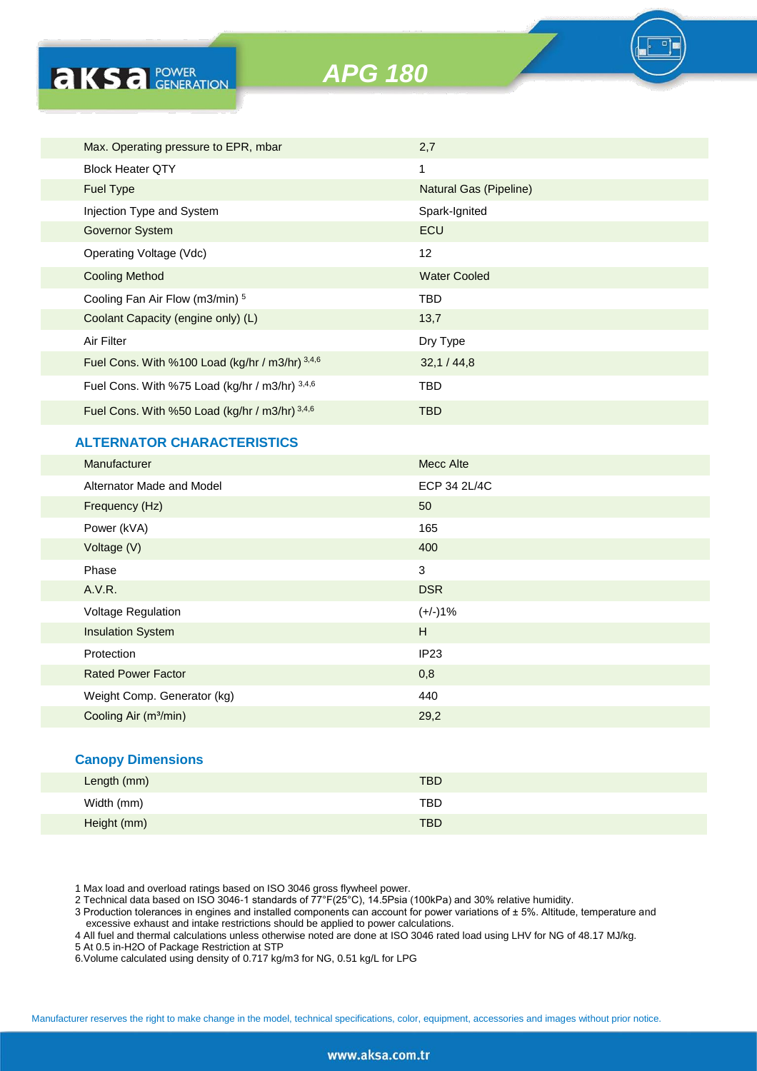*APG 180*



# **ALTERNATOR CHARACTERISTICS**

**AKSA POWER** 

| <b>Manufacturer</b>               | <b>Mecc Alte</b> |
|-----------------------------------|------------------|
| Alternator Made and Model         | ECP 34 2L/4C     |
| Frequency (Hz)                    | 50               |
| Power (kVA)                       | 165              |
| Voltage (V)                       | 400              |
| Phase                             | 3                |
| A.V.R.                            | <b>DSR</b>       |
| Voltage Regulation                | $(+/-)1%$        |
| <b>Insulation System</b>          | H                |
| Protection                        | IP <sub>23</sub> |
| <b>Rated Power Factor</b>         | 0,8              |
| Weight Comp. Generator (kg)       | 440              |
| Cooling Air (m <sup>3</sup> /min) | 29,2             |
|                                   |                  |

#### **Canopy Dimensions**

| Length (mm) | <b>TBD</b> |
|-------------|------------|
| Width (mm)  | <b>TBD</b> |
| Height (mm) | <b>TBD</b> |

1 Max load and overload ratings based on ISO 3046 gross flywheel power.

2 Technical data based on ISO 3046-1 standards of 77°F(25°C), 14.5Psia (100kPa) and 30% relative humidity.

3 Production tolerances in engines and installed components can account for power variations of ± 5%. Altitude, temperature and excessive exhaust and intake restrictions should be applied to power calculations.

4 All fuel and thermal calculations unless otherwise noted are done at ISO 3046 rated load using LHV for NG of 48.17 MJ/kg.

5 At 0.5 in-H2O of Package Restriction at STP

6.Volume calculated using density of 0.717 kg/m3 for NG, 0.51 kg/L for LPG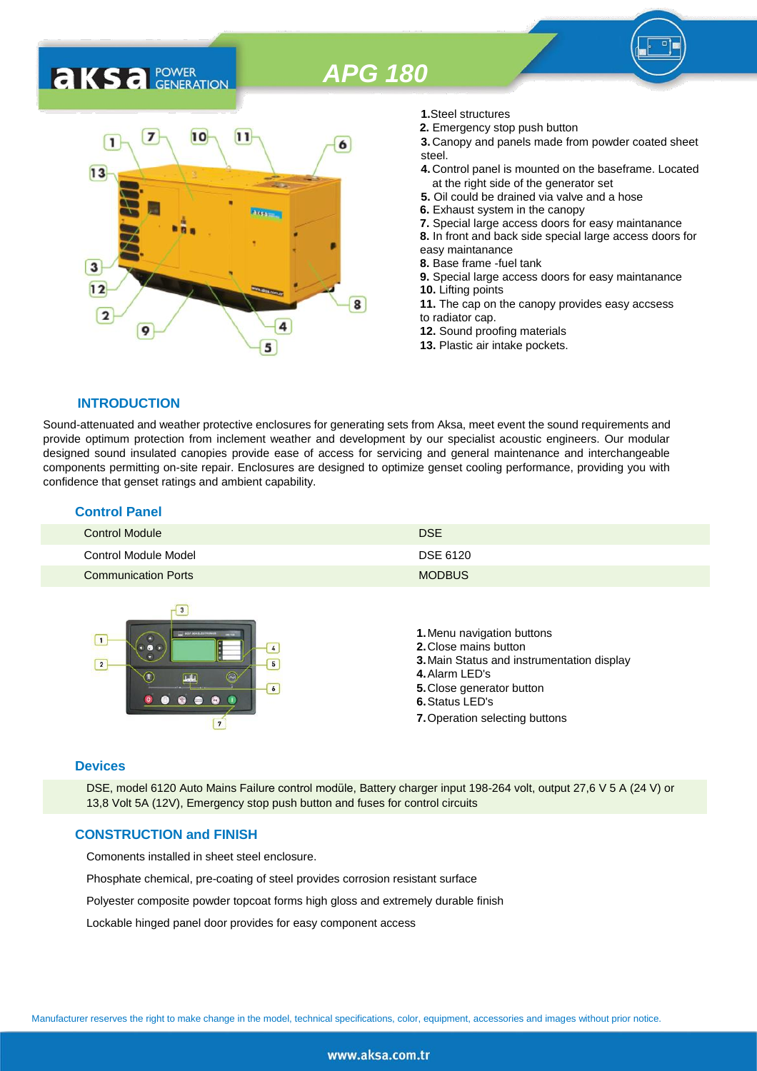# *APG 180*

# **AKSA** POWER



- **1.**Steel structures
- **2.** Emergency stop push button
- **3.** Canopy and panels made from powder coated sheet steel.
- **4.** Control panel is mounted on the baseframe. Located at the right side of the generator set
- **5.** Oil could be drained via valve and a hose
- **6.** Exhaust system in the canopy
- **7.** Special large access doors for easy maintanance
- **8.** In front and back side special large access doors for
- easy maintanance **8.** Base frame -fuel tank
- 
- **9.** Special large access doors for easy maintanance **10.** Lifting points **11.** The cap on the canopy provides easy accsess
- to radiator cap.
- **12.** Sound proofing materials
- **13.** Plastic air intake pockets.

#### **INTRODUCTION**

Sound-attenuated and weather protective enclosures for generating sets from Aksa, meet event the sound requirements and provide optimum protection from inclement weather and development by our specialist acoustic engineers. Our modular designed sound insulated canopies provide ease of access for servicing and general maintenance and interchangeable components permitting on-site repair. Enclosures are designed to optimize genset cooling performance, providing you with confidence that genset ratings and ambient capability.

| <b>Control Panel</b>       |               |  |
|----------------------------|---------------|--|
| Control Module             | <b>DSE</b>    |  |
| Control Module Model       | DSE 6120      |  |
| <b>Communication Ports</b> | <b>MODBUS</b> |  |



#### **Devices**

DSE, model 6120 Auto Mains Failure control modüle, Battery charger input 198-264 volt, output 27,6 V 5 A (24 V) or 13,8 Volt 5A (12V), Emergency stop push button and fuses for control circuits

#### **CONSTRUCTION and FINISH**

Comonents installed in sheet steel enclosure.

Phosphate chemical, pre-coating of steel provides corrosion resistant surface

Polyester composite powder topcoat forms high gloss and extremely durable finish

Lockable hinged panel door provides for easy component access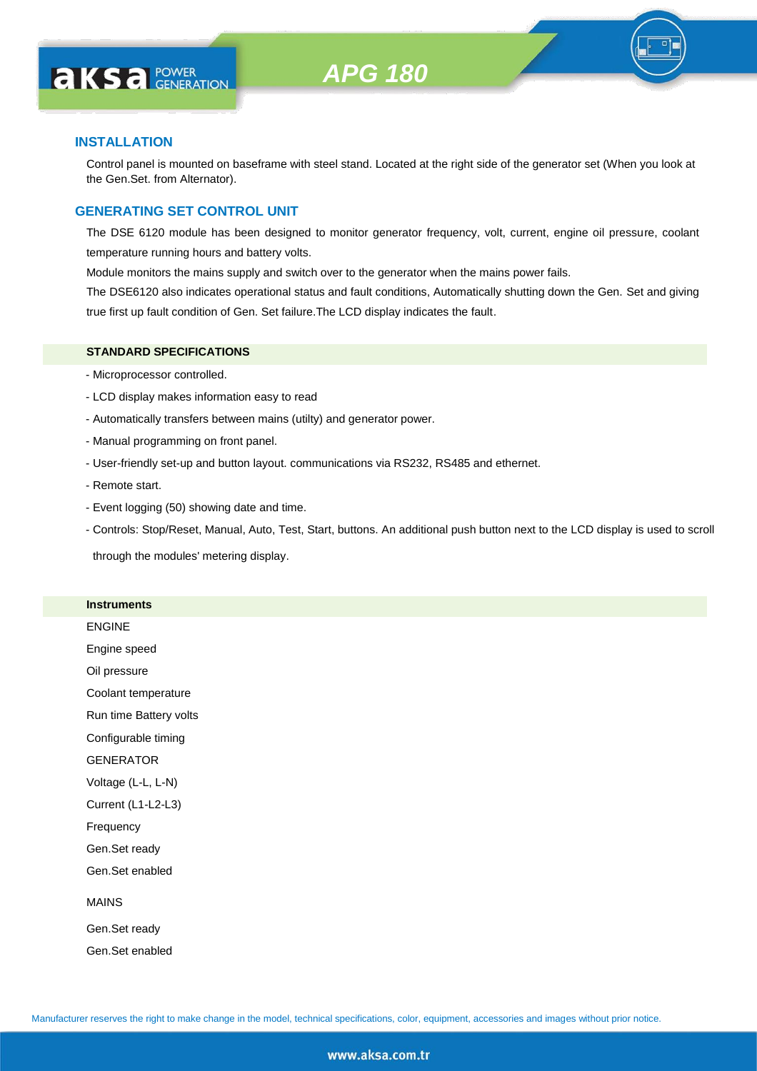

# **INSTALLATION**

Control panel is mounted on baseframe with steel stand. Located at the right side of the generator set (When you look at the Gen.Set. from Alternator).

# **GENERATING SET CONTROL UNIT**

The DSE 6120 module has been designed to monitor generator frequency, volt, current, engine oil pressure, coolant temperature running hours and battery volts.

Module monitors the mains supply and switch over to the generator when the mains power fails.

The DSE6120 also indicates operational status and fault conditions, Automatically shutting down the Gen. Set and giving true first up fault condition of Gen. Set failure.The LCD display indicates the fault.

#### **STANDARD SPECIFICATIONS**

- Microprocessor controlled.
- LCD display makes information easy to read
- Automatically transfers between mains (utilty) and generator power.
- Manual programming on front panel.
- User-friendly set-up and button layout. communications via RS232, RS485 and ethernet.
- Remote start.
- Event logging (50) showing date and time.
- Controls: Stop/Reset, Manual, Auto, Test, Start, buttons. An additional push button next to the LCD display is used to scroll

through the modules' metering display.

#### **Instruments**

|  | ENGINE |  |
|--|--------|--|
|  |        |  |

Engine speed

Oil pressure

Coolant temperature

Run time Battery volts

Configurable timing

GENERATOR

Voltage (L-L, L-N)

Current (L1-L2-L3)

Frequency

Gen.Set ready

Gen.Set enabled

#### MAINS

Gen.Set ready Gen.Set enabled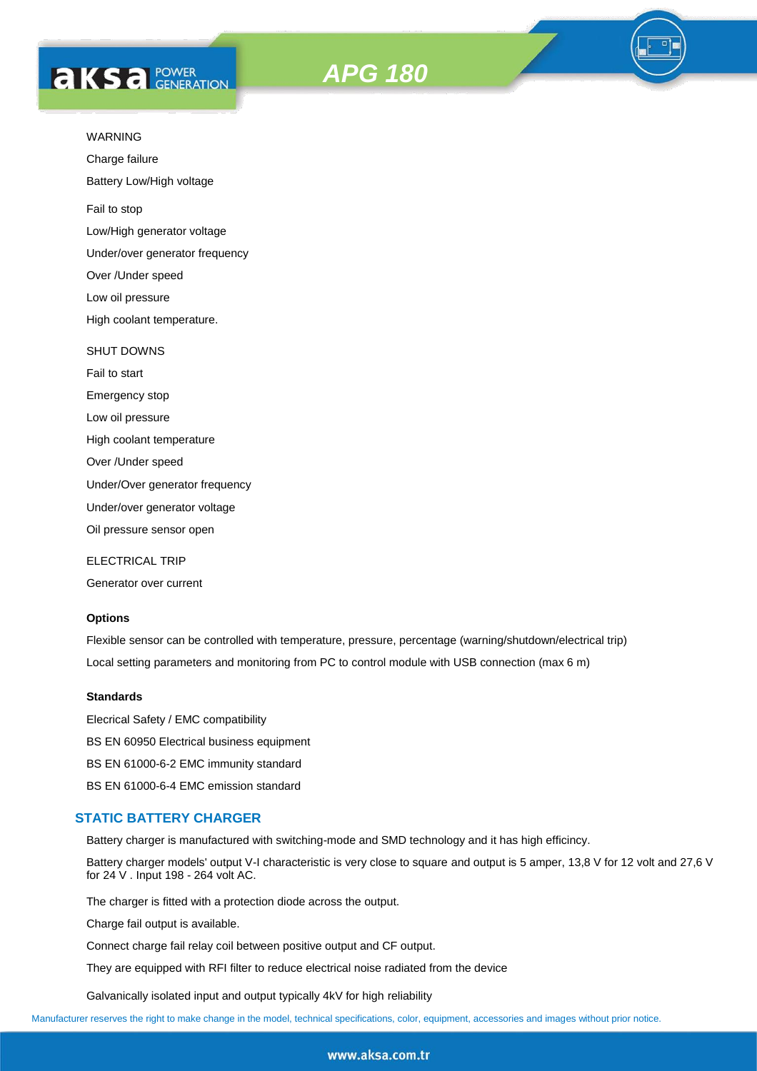



Charge failure

Battery Low/High voltage

Fail to stop

Low/High generator voltage

Under/over generator frequency

Over /Under speed

Low oil pressure

High coolant temperature.

#### SHUT DOWNS

Fail to start Emergency stop Low oil pressure High coolant temperature Over /Under speed Under/Over generator frequency Under/over generator voltage

Oil pressure sensor open

ELECTRICAL TRIP

Generator over current

#### **Options**

Flexible sensor can be controlled with temperature, pressure, percentage (warning/shutdown/electrical trip) Local setting parameters and monitoring from PC to control module with USB connection (max 6 m)

#### **Standards**

Elecrical Safety / EMC compatibility BS EN 60950 Electrical business equipment BS EN 61000-6-2 EMC immunity standard BS EN 61000-6-4 EMC emission standard

#### **STATIC BATTERY CHARGER**

Battery charger is manufactured with switching-mode and SMD technology and it has high efficincy.

Battery charger models' output V-I characteristic is very close to square and output is 5 amper, 13,8 V for 12 volt and 27,6 V for 24 V . Input 198 - 264 volt AC.

The charger is fitted with a protection diode across the output.

Charge fail output is available.

Connect charge fail relay coil between positive output and CF output.

They are equipped with RFI filter to reduce electrical noise radiated from the device

Galvanically isolated input and output typically 4kV for high reliability

Manufacturer reserves the right to make change in the model, technical specifications, color, equipment, accessories and images without prior notice.